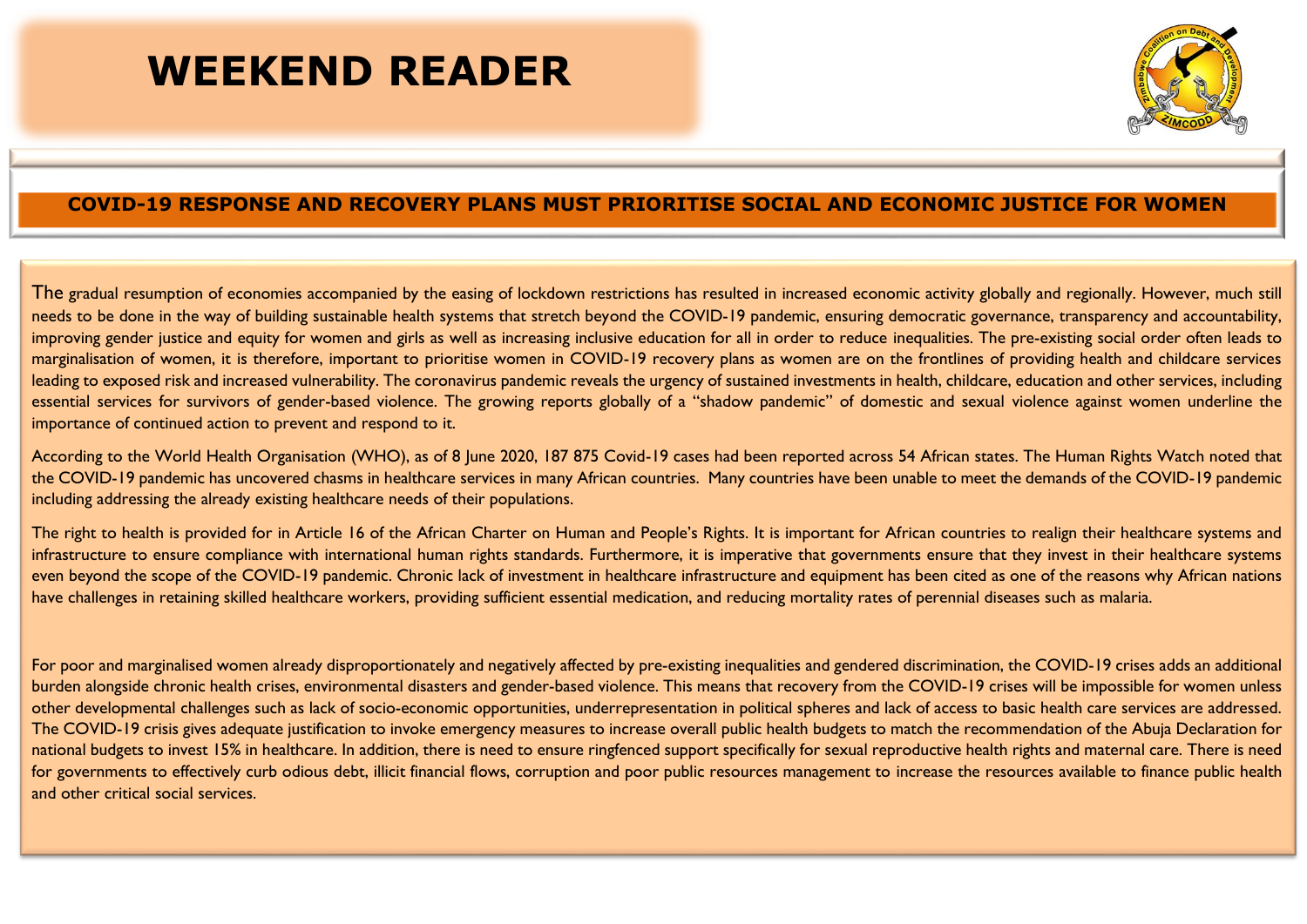## **WEEKEND READER**



## **COVID-19 RESPONSE AND RECOVERY PLANS MUST PRIORITISE SOCIAL AND ECONOMIC JUSTICE FOR WOMEN**

The gradual resumption of economies accompanied by the easing of lockdown restrictions has resulted in increased economic activity globally and regionally. However, much still needs to be done in the way of building sustainable health systems that stretch beyond the COVID-19 pandemic, ensuring democratic governance, transparency and accountability, improving gender justice and equity for women and girls as well as increasing inclusive education for all in order to reduce inequalities. The pre-existing social order often leads to marginalisation of women, it is therefore, important to prioritise women in COVID-19 recovery plans as women are on the frontlines of providing health and childcare services leading to exposed risk and increased vulnerability. The coronavirus pandemic reveals the urgency of sustained investments in health, childcare, education and other services, including essential services for survivors of gender-based violence. The growing reports globally of a "shadow pandemic" of domestic and sexual violence against women underline the importance of continued action to prevent and respond to it.

According to the World Health Organisation (WHO), as of 8 June 2020, 187 875 Covid-19 cases had been reported across 54 African states. The Human Rights Watch noted that the COVID-19 pandemic has uncovered chasms in healthcare services in many African countries. Many countries have been unable to meet the demands of the COVID-19 pandemic including addressing the already existing healthcare needs of their populations.

The right to health is provided for in Article 16 of the African Charter on Human and People's Rights. It is important for African countries to realign their healthcare systems and infrastructure to ensure compliance with international human rights standards. Furthermore, it is imperative that governments ensure that they invest in their healthcare systems even beyond the scope of the COVID-19 pandemic. Chronic lack of investment in healthcare infrastructure and equipment has been cited as one of the reasons why African nations have challenges in retaining skilled healthcare workers, providing sufficient essential medication, and reducing mortality rates of perennial diseases such as malaria.

For poor and marginalised women already disproportionately and negatively affected by pre-existing inequalities and gendered discrimination, the COVID-19 crises adds an additional burden alongside chronic health crises, environmental disasters and gender-based violence. This means that recovery from the COVID-19 crises will be impossible for women unless other developmental challenges such as lack of socio-economic opportunities, underrepresentation in political spheres and lack of access to basic health care services are addressed. The COVID-19 crisis gives adequate justification to invoke emergency measures to increase overall public health budgets to match the recommendation of the Abuja Declaration for national budgets to invest 15% in healthcare. In addition, there is need to ensure ringfenced support specifically for sexual reproductive health rights and maternal care. There is need for governments to effectively curb odious debt, illicit financial flows, corruption and poor public resources management to increase the resources available to finance public health and other critical social services.